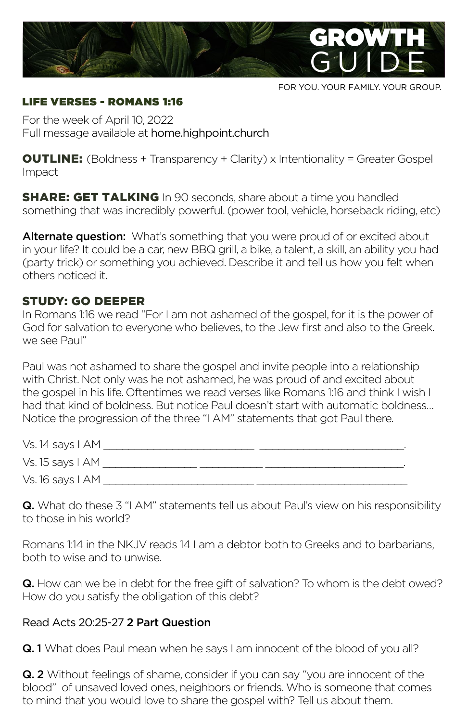

FOR YOU. YOUR FAMILY. YOUR GROUP.

#### LIFE VERSES - ROMANS 1:16

For the week of April 10, 2022 Full message available at home.highpoint.church

**OUTLINE:** (Boldness + Transparency + Clarity) x Intentionality = Greater Gospel Impact

**SHARE: GET TALKING** In 90 seconds, share about a time you handled something that was incredibly powerful. (power tool, vehicle, horseback riding, etc)

Alternate question: What's something that you were proud of or excited about in your life? It could be a car, new BBQ grill, a bike, a talent, a skill, an ability you had (party trick) or something you achieved. Describe it and tell us how you felt when others noticed it.

### STUDY: GO DEEPER

In Romans 1:16 we read "For I am not ashamed of the gospel, for it is the power of God for salvation to everyone who believes, to the Jew first and also to the Greek. we see Paul"

Paul was not ashamed to share the gospel and invite people into a relationship with Christ. Not only was he not ashamed, he was proud of and excited about the gospel in his life. Oftentimes we read verses like Romans 1:16 and think I wish I had that kind of boldness. But notice Paul doesn't start with automatic boldness… Notice the progression of the three "I AM" statements that got Paul there.

| Vs. 14 says I AM |  |
|------------------|--|
| Vs. 15 says I AM |  |
| Vs. 16 says I AM |  |

Q. What do these 3 "I AM" statements tell us about Paul's view on his responsibility to those in his world?

Romans 1:14 in the NKJV reads 14 I am a debtor both to Greeks and to barbarians, both to wise and to unwise.

Q. How can we be in debt for the free gift of salvation? To whom is the debt owed? How do you satisfy the obligation of this debt?

### Read Acts 20:25-27 2 Part Question

**Q. 1** What does Paul mean when he says I am innocent of the blood of you all?

**Q. 2** Without feelings of shame, consider if you can say "you are innocent of the blood" of unsaved loved ones, neighbors or friends. Who is someone that comes to mind that you would love to share the gospel with? Tell us about them.